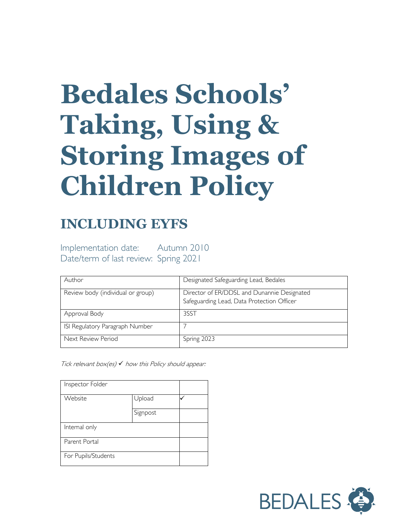# **Bedales Schools' Taking, Using & Storing Images of Children Policy**

## **INCLUDING EYFS**

Implementation date: Autumn 2010 Date/term of last review: Spring 2021

| Author                            | Designated Safeguarding Lead, Bedales                                                     |
|-----------------------------------|-------------------------------------------------------------------------------------------|
| Review body (individual or group) | Director of ER/DDSL and Dunannie Designated<br>Safeguarding Lead, Data Protection Officer |
| Approval Body                     | 3SST                                                                                      |
| ISI Regulatory Paragraph Number   |                                                                                           |
| Next Review Period                | Spring 2023                                                                               |

Tick relevant box(es)  $\checkmark$  how this Policy should appear:

| Inspector Folder    |          |  |
|---------------------|----------|--|
| Website             | Upload   |  |
|                     | Signpost |  |
| Internal only       |          |  |
| Parent Portal       |          |  |
| For Pupils/Students |          |  |

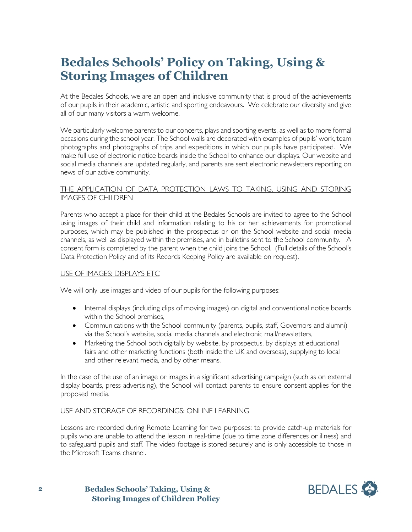### **Bedales Schools' Policy on Taking, Using & Storing Images of Children**

At the Bedales Schools, we are an open and inclusive community that is proud of the achievements of our pupils in their academic, artistic and sporting endeavours. We celebrate our diversity and give all of our many visitors a warm welcome.

We particularly welcome parents to our concerts, plays and sporting events, as well as to more formal occasions during the school year. The School walls are decorated with examples of pupils' work, team photographs and photographs of trips and expeditions in which our pupils have participated. We make full use of electronic notice boards inside the School to enhance our displays. Our website and social media channels are updated regularly, and parents are sent electronic newsletters reporting on news of our active community.

#### THE APPLICATION OF DATA PROTECTION LAWS TO TAKING, USING AND STORING IMAGES OF CHILDREN

Parents who accept a place for their child at the Bedales Schools are invited to agree to the School using images of their child and information relating to his or her achievements for promotional purposes, which may be published in the prospectus or on the School website and social media channels, as well as displayed within the premises, and in bulletins sent to the School community. A consent form is completed by the parent when the child joins the School. (Full details of the School's Data Protection Policy and of its Records Keeping Policy are available on request).

#### USE OF IMAGES: DISPLAYS ETC

We will only use images and video of our pupils for the following purposes:

- Internal displays (including clips of moving images) on digital and conventional notice boards within the School premises,
- Communications with the School community (parents, pupils, staff, Governors and alumni) via the School's website, social media channels and electronic mail/newsletters,
- Marketing the School both digitally by website, by prospectus, by displays at educational fairs and other marketing functions (both inside the UK and overseas), supplying to local and other relevant media, and by other means.

In the case of the use of an image or images in a significant advertising campaign (such as on external display boards, press advertising), the School will contact parents to ensure consent applies for the proposed media.

#### USE AND STORAGE OF RECORDINGS: ONLINE LEARNING

Lessons are recorded during Remote Learning for two purposes: to provide catch-up materials for pupils who are unable to attend the lesson in real-time (due to time zone differences or illness) and to safeguard pupils and staff. The video footage is stored securely and is only accessible to those in the Microsoft Teams channel.

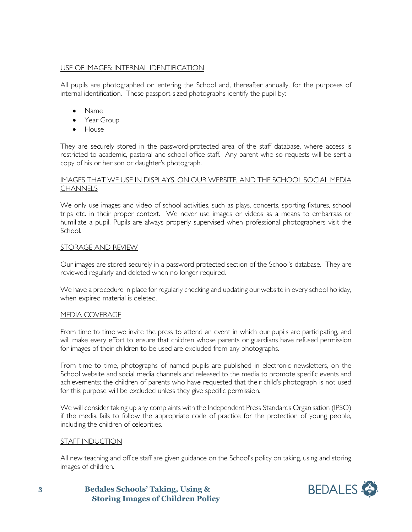#### USE OF IMAGES: INTERNAL IDENTIFICATION

All pupils are photographed on entering the School and, thereafter annually, for the purposes of internal identification. These passport-sized photographs identify the pupil by:

- Name
- Year Group
- House

They are securely stored in the password-protected area of the staff database, where access is restricted to academic, pastoral and school office staff. Any parent who so requests will be sent a copy of his or her son or daughter's photograph.

#### IMAGES THAT WE USE IN DISPLAYS, ON OUR WEBSITE, AND THE SCHOOL SOCIAL MEDIA **CHANNELS**

We only use images and video of school activities, such as plays, concerts, sporting fixtures, school trips etc. in their proper context. We never use images or videos as a means to embarrass or humiliate a pupil. Pupils are always properly supervised when professional photographers visit the School.

#### STORAGE AND REVIEW

Our images are stored securely in a password protected section of the School's database. They are reviewed regularly and deleted when no longer required.

We have a procedure in place for regularly checking and updating our website in every school holiday, when expired material is deleted.

#### MEDIA COVERAGE

From time to time we invite the press to attend an event in which our pupils are participating, and will make every effort to ensure that children whose parents or guardians have refused permission for images of their children to be used are excluded from any photographs.

From time to time, photographs of named pupils are published in electronic newsletters, on the School website and social media channels and released to the media to promote specific events and achievements; the children of parents who have requested that their child's photograph is not used for this purpose will be excluded unless they give specific permission.

We will consider taking up any complaints with the Independent Press Standards Organisation (IPSO) if the media fails to follow the appropriate code of practice for the protection of young people, including the children of celebrities.

#### STAFF INDUCTION

All new teaching and office staff are given guidance on the School's policy on taking, using and storing images of children.

**Bedales Schools' Taking, Using & Storing Images of Children Policy**